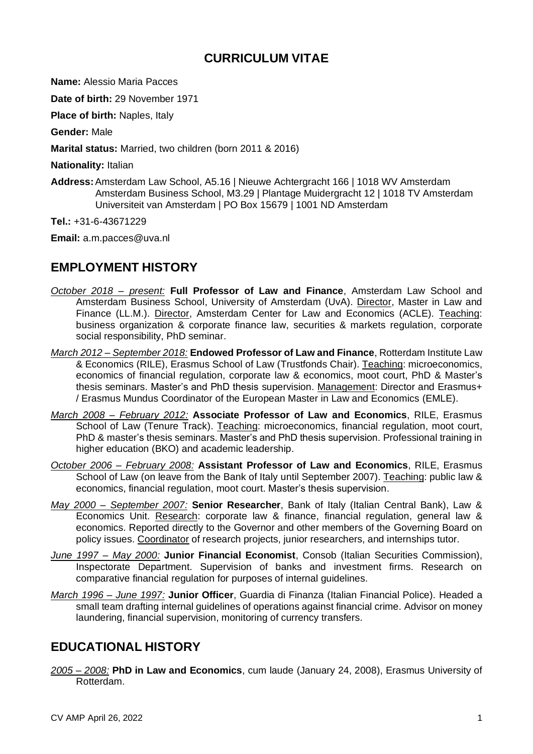### **CURRICULUM VITAE**

**Name:** Alessio Maria Pacces

**Date of birth:** 29 November 1971

**Place of birth: Naples, Italy** 

**Gender:** Male

**Marital status:** Married, two children (born 2011 & 2016)

**Nationality:** Italian

**Address:**Amsterdam Law School, A5.16 | Nieuwe Achtergracht 166 | 1018 WV Amsterdam Amsterdam Business School, M3.29 | Plantage Muidergracht 12 | 1018 TV Amsterdam Universiteit van Amsterdam | PO Box 15679 | 1001 ND Amsterdam

**Tel.:** +31-6-43671229

**Email:** a.m.pacces@uva.nl

## **EMPLOYMENT HISTORY**

- *October 2018 – present:* **Full Professor of Law and Finance**, Amsterdam Law School and Amsterdam Business School, University of Amsterdam (UvA). Director, Master in Law and Finance (LL.M.). Director, Amsterdam Center for Law and Economics (ACLE). Teaching: business organization & corporate finance law, securities & markets regulation, corporate social responsibility, PhD seminar.
- *March 2012 – September 2018:* **Endowed Professor of Law and Finance**, Rotterdam Institute Law & Economics (RILE), Erasmus School of Law (Trustfonds Chair). Teaching: microeconomics, economics of financial regulation, corporate law & economics, moot court, PhD & Master's thesis seminars. Master's and PhD thesis supervision. Management: Director and Erasmus+ / Erasmus Mundus Coordinator of the European Master in Law and Economics (EMLE).
- *March 2008 – February 2012:* **Associate Professor of Law and Economics**, RILE, Erasmus School of Law (Tenure Track). Teaching: microeconomics, financial regulation, moot court, PhD & master's thesis seminars. Master's and PhD thesis supervision. Professional training in higher education (BKO) and academic leadership.
- *October 2006 – February 2008:* **Assistant Professor of Law and Economics**, RILE, Erasmus School of Law (on leave from the Bank of Italy until September 2007). Teaching: public law & economics, financial regulation, moot court. Master's thesis supervision.
- *May 2000 – September 2007:* **Senior Researcher**, Bank of Italy (Italian Central Bank), Law & Economics Unit. Research: corporate law & finance, financial regulation, general law & economics. Reported directly to the Governor and other members of the Governing Board on policy issues. Coordinator of research projects, junior researchers, and internships tutor.
- *June 1997 – May 2000:* **Junior Financial Economist**, Consob (Italian Securities Commission), Inspectorate Department. Supervision of banks and investment firms. Research on comparative financial regulation for purposes of internal guidelines.
- *March 1996 – June 1997:* **Junior Officer**, Guardia di Finanza (Italian Financial Police). Headed a small team drafting internal guidelines of operations against financial crime. Advisor on money laundering, financial supervision, monitoring of currency transfers.

### **EDUCATIONAL HISTORY**

*2005 – 2008:* **PhD in Law and Economics**, cum laude (January 24, 2008), Erasmus University of Rotterdam.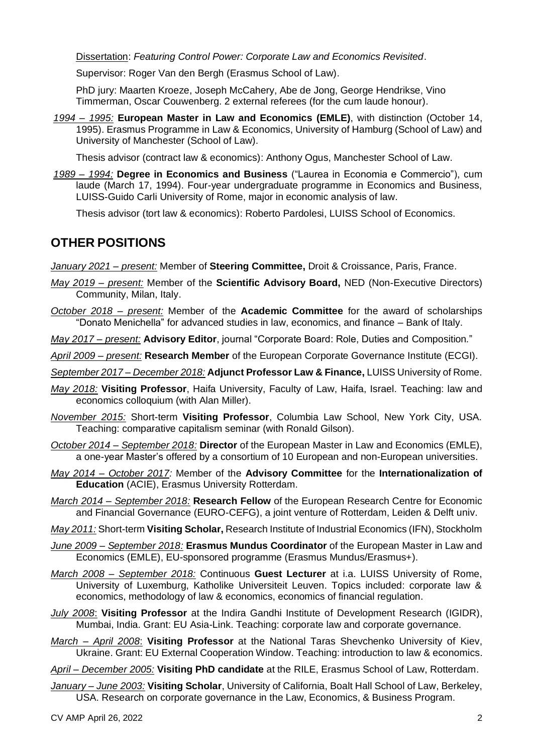Dissertation: *Featuring Control Power: Corporate Law and Economics Revisited*.

Supervisor: Roger Van den Bergh (Erasmus School of Law).

PhD jury: Maarten Kroeze, Joseph McCahery, Abe de Jong, George Hendrikse, Vino Timmerman, Oscar Couwenberg. 2 external referees (for the cum laude honour).

*1994 – 1995:* **European Master in Law and Economics (EMLE)**, with distinction (October 14, 1995). Erasmus Programme in Law & Economics, University of Hamburg (School of Law) and University of Manchester (School of Law).

Thesis advisor (contract law & economics): Anthony Ogus, Manchester School of Law.

*1989 – 1994:* **Degree in Economics and Business** ("Laurea in Economia e Commercio"), cum laude (March 17, 1994). Four-year undergraduate programme in Economics and Business, LUISS-Guido Carli University of Rome, major in economic analysis of law.

Thesis advisor (tort law & economics): Roberto Pardolesi, LUISS School of Economics.

### **OTHER POSITIONS**

*January 2021 – present:* Member of **Steering Committee,** Droit & Croissance, Paris, France.

- *May 2019 – present:* Member of the **Scientific Advisory Board,** NED (Non-Executive Directors) Community, Milan, Italy.
- *October 2018 – present:* Member of the **Academic Committee** for the award of scholarships "Donato Menichella" for advanced studies in law, economics, and finance – Bank of Italy.

*May 2017 – present:* **Advisory Editor**, journal "Corporate Board: Role, Duties and Composition*.*"

- *April 2009 – present:* **Research Member** of the European Corporate Governance Institute (ECGI).
- *September 2017 – December 2018:* **Adjunct Professor Law & Finance,** LUISS University of Rome.
- *May 2018:* **Visiting Professor**, Haifa University, Faculty of Law, Haifa, Israel. Teaching: law and economics colloquium (with Alan Miller).
- *November 2015:* Short-term **Visiting Professor**, Columbia Law School, New York City, USA. Teaching: comparative capitalism seminar (with Ronald Gilson).
- *October 2014 – September 2018:* **Director** of the European Master in Law and Economics (EMLE), a one-year Master's offered by a consortium of 10 European and non-European universities.
- *May 2014 – October 2017:* Member of the **Advisory Committee** for the **Internationalization of Education** (ACIE), Erasmus University Rotterdam.
- *March 2014 – September 2018:* **Research Fellow** of the European Research Centre for Economic and Financial Governance (EURO-CEFG), a joint venture of Rotterdam, Leiden & Delft univ.
- *May 2011:* Short-term **Visiting Scholar,** Research Institute of Industrial Economics (IFN), Stockholm
- *June 2009 – September 2018:* **Erasmus Mundus Coordinator** of the European Master in Law and Economics (EMLE), EU-sponsored programme (Erasmus Mundus/Erasmus+).
- *March 2008 – September 2018:* Continuous **Guest Lecturer** at i.a. LUISS University of Rome, University of Luxemburg, Katholike Universiteit Leuven. Topics included: corporate law & economics, methodology of law & economics, economics of financial regulation.
- *July 2008*: **Visiting Professor** at the Indira Gandhi Institute of Development Research (IGIDR), Mumbai, India. Grant: EU Asia-Link. Teaching: corporate law and corporate governance.
- *March – April 2008*: **Visiting Professor** at the National Taras Shevchenko University of Kiev, Ukraine. Grant: EU External Cooperation Window. Teaching: introduction to law & economics.

*April – December 2005:* **Visiting PhD candidate** at the RILE, Erasmus School of Law, Rotterdam.

*January – June 2003:* **Visiting Scholar**, University of California, Boalt Hall School of Law, Berkeley, USA. Research on corporate governance in the Law, Economics, & Business Program.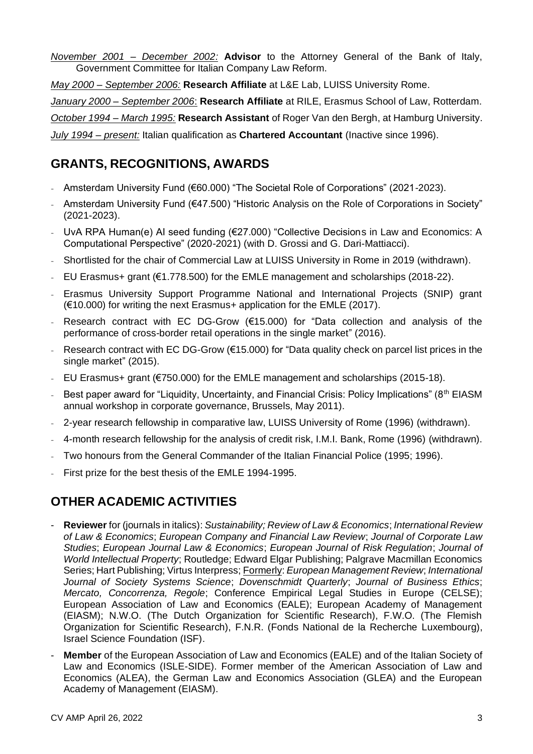*November 2001 – December 2002:* **Advisor** to the Attorney General of the Bank of Italy, Government Committee for Italian Company Law Reform.

*May 2000 – September 2006:* **Research Affiliate** at L&E Lab, LUISS University Rome.

*January 2000 – September 2006*: **Research Affiliate** at RILE, Erasmus School of Law, Rotterdam.

*October 1994 – March 1995:* **Research Assistant** of Roger Van den Bergh, at Hamburg University.

*July 1994 – present:* Italian qualification as **Chartered Accountant** (Inactive since 1996).

## **GRANTS, RECOGNITIONS, AWARDS**

- Amsterdam University Fund (€60.000) "The Societal Role of Corporations" (2021-2023).
- Amsterdam University Fund (€47.500) "Historic Analysis on the Role of Corporations in Society" (2021-2023).
- UvA RPA Human(e) AI seed funding (€27.000) "Collective Decisions in Law and Economics: A Computational Perspective" (2020-2021) (with D. Grossi and G. Dari-Mattiacci).
- Shortlisted for the chair of Commercial Law at LUISS University in Rome in 2019 (withdrawn).
- EU Erasmus+ grant (€1.778.500) for the EMLE management and scholarships (2018-22).
- Erasmus University Support Programme National and International Projects (SNIP) grant (€10.000) for writing the next Erasmus+ application for the EMLE (2017).
- Research contract with EC DG-Grow  $(F15.000)$  for "Data collection and analysis of the performance of cross-border retail operations in the single market" (2016).
- Research contract with EC DG-Grow ( $€15.000$ ) for "Data quality check on parcel list prices in the single market" (2015).
- EU Erasmus+ grant (€750.000) for the EMLE management and scholarships (2015-18).
- Best paper award for "Liquidity, Uncertainty, and Financial Crisis: Policy Implications" ( $8<sup>th</sup>$  EIASM annual workshop in corporate governance, Brussels, May 2011).
- 2-year research fellowship in comparative law, LUISS University of Rome (1996) (withdrawn).
- 4-month research fellowship for the analysis of credit risk, I.M.I. Bank, Rome (1996) (withdrawn).
- Two honours from the General Commander of the Italian Financial Police (1995; 1996).
- First prize for the best thesis of the EMLE 1994-1995.

# **OTHER ACADEMIC ACTIVITIES**

- **Reviewer** for (journals in italics): *Sustainability; Review of Law & Economics*; *International Review of Law & Economics*; *European Company and Financial Law Review*; *Journal of Corporate Law Studies*; *European Journal Law & Economics*; *European Journal of Risk Regulation*; *Journal of World Intellectual Property*; Routledge; Edward Elgar Publishing; Palgrave Macmillan Economics Series; Hart Publishing; Virtus Interpress; Formerly: *European Management Review*; *International Journal of Society Systems Science*; *Dovenschmidt Quarterly*; *Journal of Business Ethics*; *Mercato, Concorrenza, Regole*; Conference Empirical Legal Studies in Europe (CELSE); European Association of Law and Economics (EALE); European Academy of Management (EIASM); N.W.O. (The Dutch Organization for Scientific Research), F.W.O. (The Flemish Organization for Scientific Research), F.N.R. (Fonds National de la Recherche Luxembourg), Israel Science Foundation (ISF).
- **Member** of the European Association of Law and Economics (EALE) and of the Italian Society of Law and Economics (ISLE-SIDE). Former member of the American Association of Law and Economics (ALEA), the German Law and Economics Association (GLEA) and the European Academy of Management (EIASM).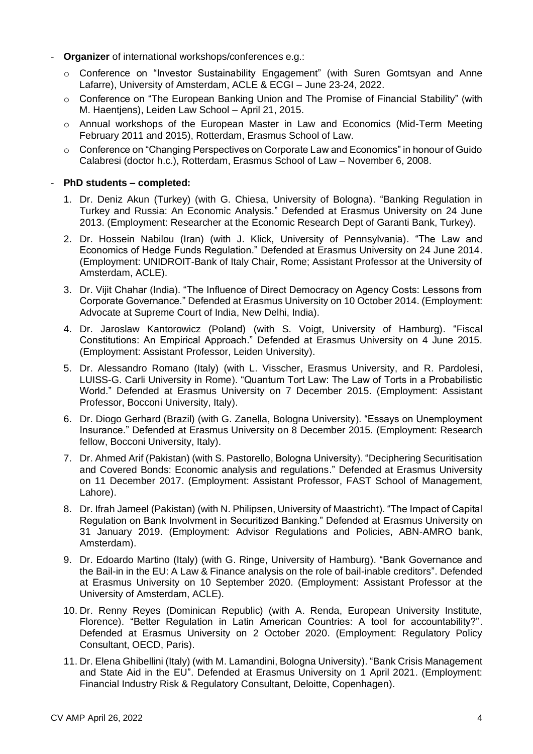- **Organizer** of international workshops/conferences e.g.:
	- o Conference on "Investor Sustainability Engagement" (with Suren Gomtsyan and Anne Lafarre), University of Amsterdam, ACLE & ECGI – June 23-24, 2022.
	- o Conference on "The European Banking Union and The Promise of Financial Stability" (with M. Haentjens), Leiden Law School – April 21, 2015.
	- o Annual workshops of the European Master in Law and Economics (Mid-Term Meeting February 2011 and 2015), Rotterdam, Erasmus School of Law.
	- o Conference on "Changing Perspectives on Corporate Law and Economics" in honour of Guido Calabresi (doctor h.c.), Rotterdam, Erasmus School of Law – November 6, 2008.

### - **PhD students – completed:**

- 1. Dr. Deniz Akun (Turkey) (with G. Chiesa, University of Bologna). "Banking Regulation in Turkey and Russia: An Economic Analysis." Defended at Erasmus University on 24 June 2013. (Employment: Researcher at the Economic Research Dept of Garanti Bank, Turkey).
- 2. Dr. Hossein Nabilou (Iran) (with J. Klick, University of Pennsylvania). "The Law and Economics of Hedge Funds Regulation." Defended at Erasmus University on 24 June 2014. (Employment: UNIDROIT-Bank of Italy Chair, Rome; Assistant Professor at the University of Amsterdam, ACLE).
- 3. Dr. Vijit Chahar (India). "The Influence of Direct Democracy on Agency Costs: Lessons from Corporate Governance." Defended at Erasmus University on 10 October 2014. (Employment: Advocate at Supreme Court of India, New Delhi, India).
- 4. Dr. Jaroslaw Kantorowicz (Poland) (with S. Voigt, University of Hamburg). "Fiscal Constitutions: An Empirical Approach." Defended at Erasmus University on 4 June 2015. (Employment: Assistant Professor, Leiden University).
- 5. Dr. Alessandro Romano (Italy) (with L. Visscher, Erasmus University, and R. Pardolesi, LUISS-G. Carli University in Rome). "Quantum Tort Law: The Law of Torts in a Probabilistic World." Defended at Erasmus University on 7 December 2015. (Employment: Assistant Professor, Bocconi University, Italy).
- 6. Dr. Diogo Gerhard (Brazil) (with G. Zanella, Bologna University). "Essays on Unemployment Insurance." Defended at Erasmus University on 8 December 2015. (Employment: Research fellow, Bocconi University, Italy).
- 7. Dr. Ahmed Arif (Pakistan) (with S. Pastorello, Bologna University). "Deciphering Securitisation and Covered Bonds: Economic analysis and regulations." Defended at Erasmus University on 11 December 2017. (Employment: Assistant Professor, FAST School of Management, Lahore).
- 8. Dr. Ifrah Jameel (Pakistan) (with N. Philipsen, University of Maastricht). "The Impact of Capital Regulation on Bank Involvment in Securitized Banking." Defended at Erasmus University on 31 January 2019. (Employment: Advisor Regulations and Policies, ABN-AMRO bank, Amsterdam).
- 9. Dr. Edoardo Martino (Italy) (with G. Ringe, University of Hamburg). "Bank Governance and the Bail-in in the EU: A Law & Finance analysis on the role of bail-inable creditors". Defended at Erasmus University on 10 September 2020. (Employment: Assistant Professor at the University of Amsterdam, ACLE).
- 10. Dr. Renny Reyes (Dominican Republic) (with A. Renda, European University Institute, Florence). "Better Regulation in Latin American Countries: A tool for accountability?". Defended at Erasmus University on 2 October 2020. (Employment: Regulatory Policy Consultant, OECD, Paris).
- 11. Dr. Elena Ghibellini (Italy) (with M. Lamandini, Bologna University). "Bank Crisis Management and State Aid in the EU". Defended at Erasmus University on 1 April 2021. (Employment: Financial Industry Risk & Regulatory Consultant, Deloitte, Copenhagen).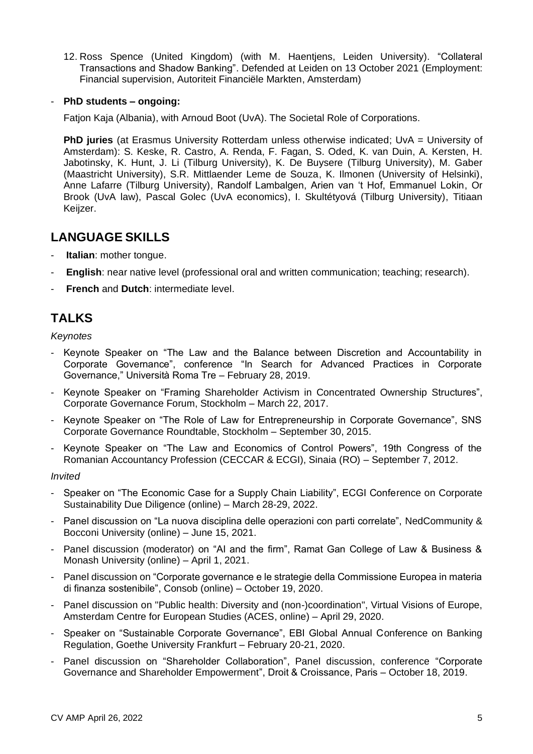12. Ross Spence (United Kingdom) (with M. Haentjens, Leiden University). "Collateral Transactions and Shadow Banking". Defended at Leiden on 13 October 2021 (Employment: Financial supervision, Autoriteit Financiële Markten, Amsterdam)

### - **PhD students – ongoing:**

Fatjon Kaja (Albania), with Arnoud Boot (UvA). The Societal Role of Corporations.

**PhD juries** (at Erasmus University Rotterdam unless otherwise indicated; UvA = University of Amsterdam): S. Keske, R. Castro, A. Renda, F. Fagan, S. Oded, K. van Duin, A. Kersten, H. Jabotinsky, K. Hunt, J. Li (Tilburg University), K. De Buysere (Tilburg University), M. Gaber (Maastricht University), S.R. Mittlaender Leme de Souza, K. Ilmonen (University of Helsinki), Anne Lafarre (Tilburg University), Randolf Lambalgen, Arien van 't Hof, Emmanuel Lokin, Or Brook (UvA law), Pascal Golec (UvA economics), I. Skultétyová (Tilburg University), Titiaan Keijzer.

### **LANGUAGE SKILLS**

- **Italian:** mother tongue.
- **English**: near native level (professional oral and written communication; teaching; research).
- **French and Dutch: intermediate level.**

# **TALKS**

*Keynotes*

- Keynote Speaker on "The Law and the Balance between Discretion and Accountability in Corporate Governance", conference "In Search for Advanced Practices in Corporate Governance," Università Roma Tre – February 28, 2019.
- Keynote Speaker on "Framing Shareholder Activism in Concentrated Ownership Structures", Corporate Governance Forum, Stockholm – March 22, 2017.
- Keynote Speaker on "The Role of Law for Entrepreneurship in Corporate Governance", SNS Corporate Governance Roundtable, Stockholm – September 30, 2015.
- Keynote Speaker on "The Law and Economics of Control Powers", 19th Congress of the Romanian Accountancy Profession (CECCAR & ECGI), Sinaia (RO) – September 7, 2012.

### *Invited*

- Speaker on "The Economic Case for a Supply Chain Liability", ECGI Conference on Corporate Sustainability Due Diligence (online) – March 28-29, 2022.
- Panel discussion on "La nuova disciplina delle operazioni con parti correlate", NedCommunity & Bocconi University (online) – June 15, 2021.
- Panel discussion (moderator) on "AI and the firm", Ramat Gan College of Law & Business & Monash University (online) – April 1, 2021.
- Panel discussion on "Corporate governance e le strategie della Commissione Europea in materia di finanza sostenibile", Consob (online) – October 19, 2020.
- Panel discussion on "Public health: Diversity and (non-)coordination", Virtual Visions of Europe, Amsterdam Centre for European Studies (ACES, online) – April 29, 2020.
- Speaker on "Sustainable Corporate Governance", EBI Global Annual Conference on Banking Regulation, Goethe University Frankfurt – February 20-21, 2020.
- Panel discussion on "Shareholder Collaboration", Panel discussion, conference "Corporate Governance and Shareholder Empowerment", Droit & Croissance, Paris – October 18, 2019.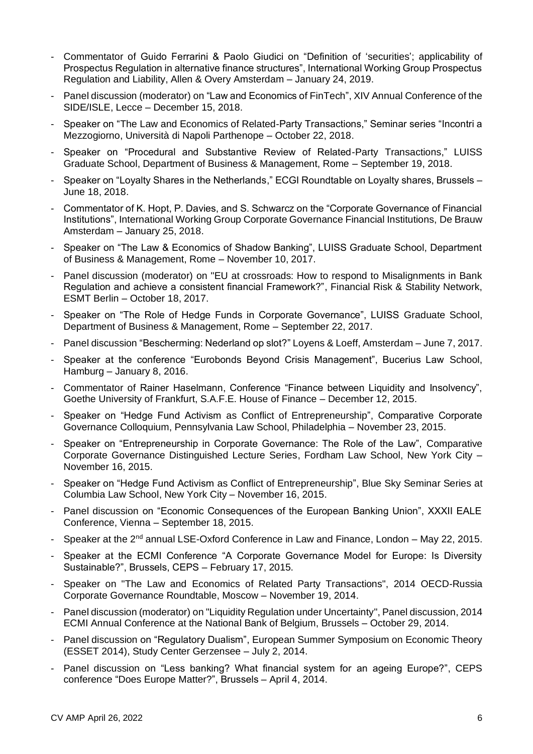- Commentator of Guido Ferrarini & Paolo Giudici on "Definition of 'securities'; applicability of Prospectus Regulation in alternative finance structures", International Working Group Prospectus Regulation and Liability, Allen & Overy Amsterdam – January 24, 2019.
- Panel discussion (moderator) on "Law and Economics of FinTech", XIV Annual Conference of the SIDE/ISLE, Lecce – December 15, 2018.
- Speaker on "The Law and Economics of Related-Party Transactions," Seminar series "Incontri a Mezzogiorno, Università di Napoli Parthenope – October 22, 2018.
- Speaker on "Procedural and Substantive Review of Related-Party Transactions," LUISS Graduate School, Department of Business & Management, Rome – September 19, 2018.
- Speaker on "Loyalty Shares in the Netherlands," ECGI Roundtable on Loyalty shares, Brussels June 18, 2018.
- Commentator of K. Hopt, P. Davies, and S. Schwarcz on the "Corporate Governance of Financial Institutions", International Working Group Corporate Governance Financial Institutions, De Brauw Amsterdam – January 25, 2018.
- Speaker on "The Law & Economics of Shadow Banking", LUISS Graduate School, Department of Business & Management, Rome – November 10, 2017.
- Panel discussion (moderator) on "EU at crossroads: How to respond to Misalignments in Bank Regulation and achieve a consistent financial Framework?", Financial Risk & Stability Network, ESMT Berlin – October 18, 2017.
- Speaker on "The Role of Hedge Funds in Corporate Governance", LUISS Graduate School, Department of Business & Management, Rome – September 22, 2017.
- Panel discussion "Bescherming: Nederland op slot?" Loyens & Loeff, Amsterdam June 7, 2017.
- Speaker at the conference "Eurobonds Beyond Crisis Management", Bucerius Law School, Hamburg – January 8, 2016.
- Commentator of Rainer Haselmann, Conference "Finance between Liquidity and Insolvency", Goethe University of Frankfurt, S.A.F.E. House of Finance – December 12, 2015.
- Speaker on "Hedge Fund Activism as Conflict of Entrepreneurship", Comparative Corporate Governance Colloquium, Pennsylvania Law School, Philadelphia – November 23, 2015.
- Speaker on "Entrepreneurship in Corporate Governance: The Role of the Law", Comparative Corporate Governance Distinguished Lecture Series, Fordham Law School, New York City – November 16, 2015.
- Speaker on "Hedge Fund Activism as Conflict of Entrepreneurship", Blue Sky Seminar Series at Columbia Law School, New York City – November 16, 2015.
- Panel discussion on "Economic Consequences of the European Banking Union", XXXII EALE Conference, Vienna – September 18, 2015.
- Speaker at the  $2^{nd}$  annual LSE-Oxford Conference in Law and Finance, London May 22, 2015.
- Speaker at the ECMI Conference "A Corporate Governance Model for Europe: Is Diversity Sustainable?", Brussels, CEPS – February 17, 2015.
- Speaker on "The Law and Economics of Related Party Transactions", 2014 OECD-Russia Corporate Governance Roundtable, Moscow – November 19, 2014.
- Panel discussion (moderator) on "Liquidity Regulation under Uncertainty", Panel discussion, 2014 ECMI Annual Conference at the National Bank of Belgium, Brussels – October 29, 2014.
- Panel discussion on "Regulatory Dualism", European Summer Symposium on Economic Theory (ESSET 2014), Study Center Gerzensee – July 2, 2014.
- Panel discussion on "Less banking? What financial system for an ageing Europe?", CEPS conference "Does Europe Matter?", Brussels – April 4, 2014.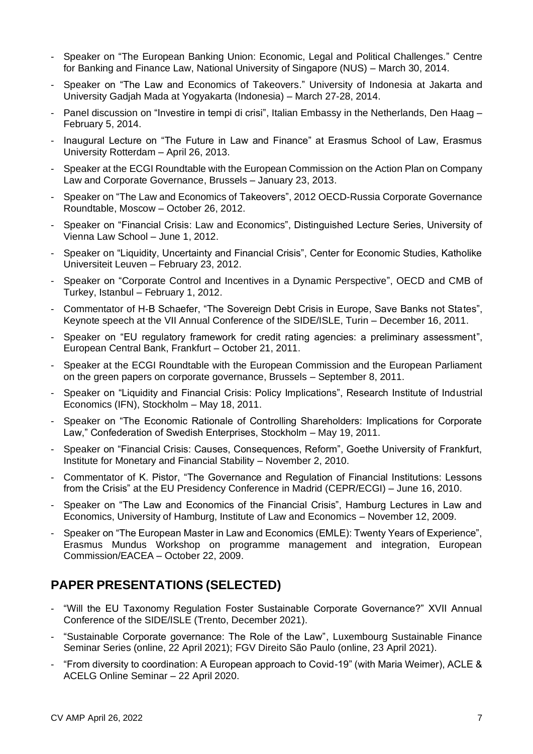- Speaker on "The European Banking Union: Economic, Legal and Political Challenges." Centre for Banking and Finance Law, National University of Singapore (NUS) – March 30, 2014.
- Speaker on "The Law and Economics of Takeovers." University of Indonesia at Jakarta and University Gadjah Mada at Yogyakarta (Indonesia) – March 27-28, 2014.
- Panel discussion on "Investire in tempi di crisi", Italian Embassy in the Netherlands, Den Haag -February 5, 2014.
- Inaugural Lecture on "The Future in Law and Finance" at Erasmus School of Law, Erasmus University Rotterdam – April 26, 2013.
- Speaker at the ECGI Roundtable with the European Commission on the Action Plan on Company Law and Corporate Governance, Brussels – January 23, 2013.
- Speaker on "The Law and Economics of Takeovers", 2012 OECD-Russia Corporate Governance Roundtable, Moscow – October 26, 2012.
- Speaker on "Financial Crisis: Law and Economics", Distinguished Lecture Series, University of Vienna Law School – June 1, 2012.
- Speaker on "Liquidity, Uncertainty and Financial Crisis", Center for Economic Studies, Katholike Universiteit Leuven – February 23, 2012.
- Speaker on "Corporate Control and Incentives in a Dynamic Perspective", OECD and CMB of Turkey, Istanbul – February 1, 2012.
- Commentator of H-B Schaefer, "The Sovereign Debt Crisis in Europe, Save Banks not States", Keynote speech at the VII Annual Conference of the SIDE/ISLE, Turin – December 16, 2011.
- Speaker on "EU regulatory framework for credit rating agencies: a preliminary assessment", European Central Bank, Frankfurt – October 21, 2011.
- Speaker at the ECGI Roundtable with the European Commission and the European Parliament on the green papers on corporate governance, Brussels – September 8, 2011.
- Speaker on "Liquidity and Financial Crisis: Policy Implications", Research Institute of Industrial Economics (IFN), Stockholm – May 18, 2011.
- Speaker on "The Economic Rationale of Controlling Shareholders: Implications for Corporate Law," Confederation of Swedish Enterprises, Stockholm – May 19, 2011.
- Speaker on "Financial Crisis: Causes, Consequences, Reform", Goethe University of Frankfurt, Institute for Monetary and Financial Stability – November 2, 2010.
- Commentator of K. Pistor, "The Governance and Regulation of Financial Institutions: Lessons from the Crisis" at the EU Presidency Conference in Madrid (CEPR/ECGI) – June 16, 2010.
- Speaker on "The Law and Economics of the Financial Crisis", Hamburg Lectures in Law and Economics, University of Hamburg, Institute of Law and Economics – November 12, 2009.
- Speaker on "The European Master in Law and Economics (EMLE): Twenty Years of Experience", Erasmus Mundus Workshop on programme management and integration, European Commission/EACEA – October 22, 2009.

# **PAPER PRESENTATIONS (SELECTED)**

- "Will the EU Taxonomy Regulation Foster Sustainable Corporate Governance?" XVII Annual Conference of the SIDE/ISLE (Trento, December 2021).
- "Sustainable Corporate governance: The Role of the Law", Luxembourg Sustainable Finance Seminar Series (online, 22 April 2021); FGV Direito São Paulo (online, 23 April 2021).
- "From diversity to coordination: A European approach to Covid-19" (with Maria Weimer), ACLE & ACELG Online Seminar – 22 April 2020.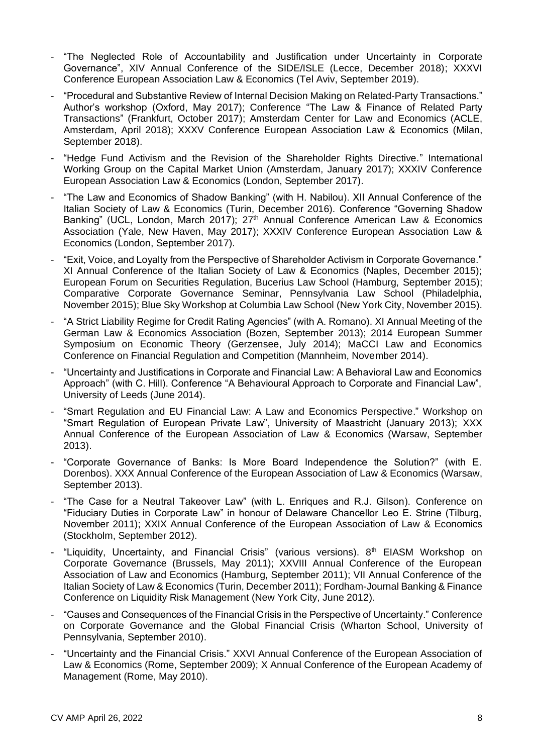- "The Neglected Role of Accountability and Justification under Uncertainty in Corporate Governance", XIV Annual Conference of the SIDE/ISLE (Lecce, December 2018); XXXVI Conference European Association Law & Economics (Tel Aviv, September 2019).
- "Procedural and Substantive Review of Internal Decision Making on Related-Party Transactions." Author's workshop (Oxford, May 2017); Conference "The Law & Finance of Related Party Transactions" (Frankfurt, October 2017); Amsterdam Center for Law and Economics (ACLE, Amsterdam, April 2018); XXXV Conference European Association Law & Economics (Milan, September 2018).
- "Hedge Fund Activism and the Revision of the Shareholder Rights Directive." International Working Group on the Capital Market Union (Amsterdam, January 2017); XXXIV Conference European Association Law & Economics (London, September 2017).
- "The Law and Economics of Shadow Banking" (with H. Nabilou). XII Annual Conference of the Italian Society of Law & Economics (Turin, December 2016). Conference "Governing Shadow Banking" (UCL, London, March 2017); 27<sup>th</sup> Annual Conference American Law & Economics Association (Yale, New Haven, May 2017); XXXIV Conference European Association Law & Economics (London, September 2017).
- "Exit, Voice, and Loyalty from the Perspective of Shareholder Activism in Corporate Governance." XI Annual Conference of the Italian Society of Law & Economics (Naples, December 2015); European Forum on Securities Regulation, Bucerius Law School (Hamburg, September 2015); Comparative Corporate Governance Seminar, Pennsylvania Law School (Philadelphia, November 2015); Blue Sky Workshop at Columbia Law School (New York City, November 2015).
- "A Strict Liability Regime for Credit Rating Agencies" (with A. Romano). XI Annual Meeting of the German Law & Economics Association (Bozen, September 2013); 2014 European Summer Symposium on Economic Theory (Gerzensee, July 2014); MaCCI Law and Economics Conference on Financial Regulation and Competition (Mannheim, November 2014).
- "Uncertainty and Justifications in Corporate and Financial Law: A Behavioral Law and Economics Approach" (with C. Hill). Conference "A Behavioural Approach to Corporate and Financial Law", University of Leeds (June 2014).
- "Smart Regulation and EU Financial Law: A Law and Economics Perspective." Workshop on "Smart Regulation of European Private Law", University of Maastricht (January 2013); XXX Annual Conference of the European Association of Law & Economics (Warsaw, September 2013).
- "Corporate Governance of Banks: Is More Board Independence the Solution?" (with E. Dorenbos). XXX Annual Conference of the European Association of Law & Economics (Warsaw, September 2013).
- "The Case for a Neutral Takeover Law" (with L. Enriques and R.J. Gilson). Conference on "Fiduciary Duties in Corporate Law" in honour of Delaware Chancellor Leo E. Strine (Tilburg, November 2011); XXIX Annual Conference of the European Association of Law & Economics (Stockholm, September 2012).
- "Liquidity, Uncertainty, and Financial Crisis" (various versions). 8<sup>th</sup> EIASM Workshop on Corporate Governance (Brussels, May 2011); XXVIII Annual Conference of the European Association of Law and Economics (Hamburg, September 2011); VII Annual Conference of the Italian Society of Law & Economics (Turin, December 2011); Fordham-Journal Banking & Finance Conference on Liquidity Risk Management (New York City, June 2012).
- "Causes and Consequences of the Financial Crisis in the Perspective of Uncertainty." Conference on Corporate Governance and the Global Financial Crisis (Wharton School, University of Pennsylvania, September 2010).
- "Uncertainty and the Financial Crisis." XXVI Annual Conference of the European Association of Law & Economics (Rome, September 2009); X Annual Conference of the European Academy of Management (Rome, May 2010).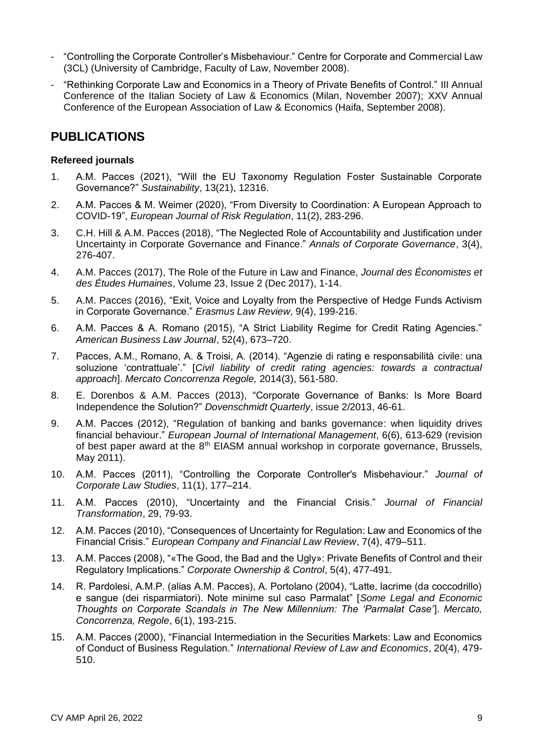- "Controlling the Corporate Controller's Misbehaviour." Centre for Corporate and Commercial Law (3CL) (University of Cambridge, Faculty of Law, November 2008).
- "Rethinking Corporate Law and Economics in a Theory of Private Benefits of Control." III Annual Conference of the Italian Society of Law & Economics (Milan, November 2007); XXV Annual Conference of the European Association of Law & Economics (Haifa, September 2008).

### **PUBLICATIONS**

### **Refereed journals**

- 1. A.M. Pacces (2021), "Will the EU Taxonomy Regulation Foster Sustainable Corporate Governance?" *Sustainability*, 13(21), 12316.
- 2. A.M. Pacces & M. Weimer (2020), "From Diversity to Coordination: A European Approach to COVID-19", *European Journal of Risk Regulation*, 11(2), 283-296.
- 3. C.H. Hill & A.M. Pacces (2018), "The Neglected Role of Accountability and Justification under Uncertainty in Corporate Governance and Finance." *Annals of Corporate Governance*, 3(4), 276-407.
- 4. A.M. Pacces (2017), The Role of the Future in Law and Finance, *Journal des Économistes et des Études Humaines*, Volume 23, Issue 2 (Dec 2017), 1-14.
- 5. A.M. Pacces (2016), "Exit, Voice and Loyalty from the Perspective of Hedge Funds Activism in Corporate Governance." *Erasmus Law Review*, 9(4), 199-216.
- 6. A.M. Pacces & A. Romano (2015), "A Strict Liability Regime for Credit Rating Agencies." *American Business Law Journal*, 52(4), 673–720.
- 7. Pacces, A.M., Romano, A. & Troisi, A. (2014). "Agenzie di rating e responsabilità civile: una soluzione 'contrattuale'." [*Civil liability of credit rating agencies: towards a contractual approach*]. *Mercato Concorrenza Regole,* 2014(3), 561-580.
- 8. E. Dorenbos & A.M. Pacces (2013), "Corporate Governance of Banks: Is More Board Independence the Solution?" *Dovenschmidt Quarterly*, issue 2/2013, 46-61.
- 9. A.M. Pacces (2012), "Regulation of banking and banks governance: when liquidity drives financial behaviour." *European Journal of International Management*, 6(6), 613-629 (revision of best paper award at the 8<sup>th</sup> EIASM annual workshop in corporate governance, Brussels, May 2011).
- 10. A.M. Pacces (2011), "Controlling the Corporate Controller's Misbehaviour." *Journal of Corporate Law Studies*, 11(1), 177–214.
- 11. A.M. Pacces (2010), "Uncertainty and the Financial Crisis." *Journal of Financial Transformation*, 29, 79-93.
- 12. A.M. Pacces (2010), "Consequences of Uncertainty for Regulation: Law and Economics of the Financial Crisis." *European Company and Financial Law Review*, 7(4), 479–511.
- 13. A.M. Pacces (2008), "«The Good, the Bad and the Ugly»: Private Benefits of Control and their Regulatory Implications." *Corporate Ownership & Control*, 5(4), 477-491.
- 14. R. Pardolesi, A.M.P. (alias A.M. Pacces), A. Portolano (2004), "Latte, lacrime (da coccodrillo) e sangue (dei risparmiatori). Note minime sul caso Parmalat" [*Some Legal and Economic Thoughts on Corporate Scandals in The New Millennium: The 'Parmalat Case'*]. *Mercato, Concorrenza, Regole*, 6(1), 193-215.
- 15. A.M. Pacces (2000), "Financial Intermediation in the Securities Markets: Law and Economics of Conduct of Business Regulation." *International Review of Law and Economics*, 20(4), 479- 510.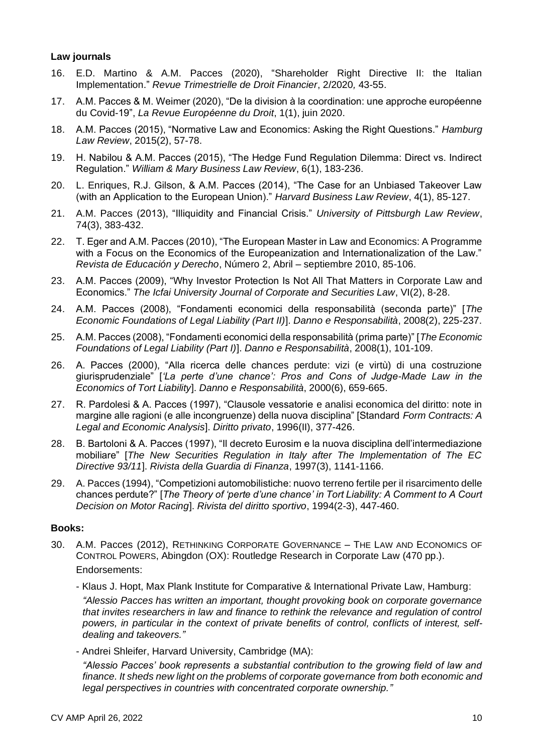### **Law journals**

- 16. E.D. Martino & A.M. Pacces (2020), "Shareholder Right Directive II: the Italian Implementation." *Revue Trimestrielle de Droit Financier*, 2/2020*,* 43-55.
- 17. A.M. Pacces & M. Weimer (2020), "De la division à la coordination: une approche européenne du Covid-19", *La Revue Européenne du Droit*, 1(1), juin 2020.
- 18. A.M. Pacces (2015), "Normative Law and Economics: Asking the Right Questions." *Hamburg Law Review*, 2015(2), 57-78.
- 19. H. Nabilou & A.M. Pacces (2015), "The Hedge Fund Regulation Dilemma: Direct vs. Indirect Regulation." *William & Mary Business Law Review*, 6(1), 183-236.
- 20. L. Enriques, R.J. Gilson, & A.M. Pacces (2014), "The Case for an Unbiased Takeover Law (with an Application to the European Union)." *Harvard Business Law Review*, 4(1), 85-127.
- 21. A.M. Pacces (2013), "Illiquidity and Financial Crisis." *University of Pittsburgh Law Review*, 74(3), 383-432.
- 22. T. Eger and A.M. Pacces (2010), "The European Master in Law and Economics: A Programme with a Focus on the Economics of the Europeanization and Internationalization of the Law." *Revista de Educación y Derecho*, Número 2, Abril – septiembre 2010, 85-106.
- 23. A.M. Pacces (2009), "Why Investor Protection Is Not All That Matters in Corporate Law and Economics." *The Icfai University Journal of Corporate and Securities Law*, VI(2), 8-28.
- 24. A.M. Pacces (2008), "Fondamenti economici della responsabilità (seconda parte)" [*The Economic Foundations of Legal Liability (Part II)*]. *Danno e Responsabilità*, 2008(2), 225-237.
- 25. A.M. Pacces (2008), "Fondamenti economici della responsabilità (prima parte)" [*The Economic Foundations of Legal Liability (Part I)*]. *Danno e Responsabilità*, 2008(1), 101-109.
- 26. A. Pacces (2000), "Alla ricerca delle chances perdute: vizi (e virtù) di una costruzione giurisprudenziale" [*'La perte d'une chance': Pros and Cons of Judge-Made Law in the Economics of Tort Liability*]. *Danno e Responsabilità*, 2000(6), 659-665.
- 27. R. Pardolesi & A. Pacces (1997), "Clausole vessatorie e analisi economica del diritto: note in margine alle ragioni (e alle incongruenze) della nuova disciplina" [Standard *Form Contracts: A Legal and Economic Analysis*]. *Diritto privato*, 1996(II), 377-426.
- 28. B. Bartoloni & A. Pacces (1997), "Il decreto Eurosim e la nuova disciplina dell'intermediazione mobiliare" [*The New Securities Regulation in Italy after The Implementation of The EC Directive 93/11*]. *Rivista della Guardia di Finanza*, 1997(3), 1141-1166.
- 29. A. Pacces (1994), "Competizioni automobilistiche: nuovo terreno fertile per il risarcimento delle chances perdute?" [*The Theory of 'perte d'une chance' in Tort Liability: A Comment to A Court Decision on Motor Racing*]. *Rivista del diritto sportivo*, 1994(2-3), 447-460.

### **Books:**

- 30. A.M. Pacces (2012), RETHINKING CORPORATE GOVERNANCE THE LAW AND ECONOMICS OF CONTROL POWERS, Abingdon (OX): Routledge Research in Corporate Law (470 pp.). Endorsements:
	- Klaus J. Hopt, Max Plank Institute for Comparative & International Private Law, Hamburg:

*"Alessio Pacces has written an important, thought provoking book on corporate governance that invites researchers in law and finance to rethink the relevance and regulation of control powers, in particular in the context of private benefits of control, conflicts of interest, selfdealing and takeovers."*

- Andrei Shleifer, Harvard University, Cambridge (MA):

*"Alessio Pacces' book represents a substantial contribution to the growing field of law and*  finance. It sheds new light on the problems of corporate governance from both economic and *legal perspectives in countries with concentrated corporate ownership."*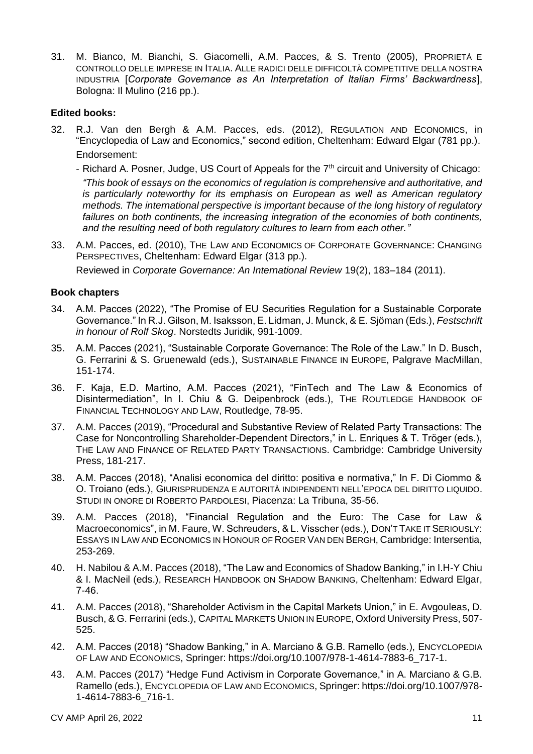31. M. Bianco, M. Bianchi, S. Giacomelli, A.M. Pacces, & S. Trento (2005), PROPRIETÀ E CONTROLLO DELLE IMPRESE IN ITALIA. ALLE RADICI DELLE DIFFICOLTÀ COMPETITIVE DELLA NOSTRA INDUSTRIA [*Corporate Governance as An Interpretation of Italian Firms' Backwardness*], Bologna: Il Mulino (216 pp.).

#### **Edited books:**

- 32. R.J. Van den Bergh & A.M. Pacces, eds. (2012), REGULATION AND ECONOMICS, in "Encyclopedia of Law and Economics," second edition, Cheltenham: Edward Elgar (781 pp.). Endorsement:
	- Richard A. Posner, Judge, US Court of Appeals for the  $7<sup>th</sup>$  circuit and University of Chicago: *"This book of essays on the economics of regulation is comprehensive and authoritative, and is particularly noteworthy for its emphasis on European as well as American regulatory methods. The international perspective is important because of the long history of regulatory*  failures on both continents, the increasing integration of the economies of both continents, *and the resulting need of both regulatory cultures to learn from each other."*
- 33. A.M. Pacces, ed. (2010), THE LAW AND ECONOMICS OF CORPORATE GOVERNANCE: CHANGING PERSPECTIVES, Cheltenham: Edward Elgar (313 pp.).

### Reviewed in *Corporate Governance: An International Review* 19(2), 183–184 (2011).

#### **Book chapters**

- 34. A.M. Pacces (2022), "The Promise of EU Securities Regulation for a Sustainable Corporate Governance." In R.J. Gilson, M. Isaksson, E. Lidman, J. Munck, & E. Sjöman (Eds.), *Festschrift in honour of Rolf Skog*. Norstedts Juridik, 991-1009.
- 35. A.M. Pacces (2021), "Sustainable Corporate Governance: The Role of the Law." In D. Busch, G. Ferrarini & S. Gruenewald (eds.), SUSTAINABLE FINANCE IN EUROPE, Palgrave MacMillan, 151-174.
- 36. F. Kaja, E.D. Martino, A.M. Pacces (2021), "FinTech and The Law & Economics of Disintermediation", In I. Chiu & G. Deipenbrock (eds.), THE ROUTLEDGE HANDBOOK OF FINANCIAL TECHNOLOGY AND LAW, Routledge, 78-95.
- 37. A.M. Pacces (2019), "Procedural and Substantive Review of Related Party Transactions: The Case for Noncontrolling Shareholder-Dependent Directors," in L. Enriques & T. Tröger (eds.), THE LAW AND FINANCE OF RELATED PARTY TRANSACTIONS. Cambridge: Cambridge University Press, 181-217.
- 38. A.M. Pacces (2018), "Analisi economica del diritto: positiva e normativa," In F. Di Ciommo & O. Troiano (eds.), GIURISPRUDENZA E AUTORITÀ INDIPENDENTI NELL'EPOCA DEL DIRITTO LIQUIDO. STUDI IN ONORE DI ROBERTO PARDOLESI, Piacenza: La Tribuna, 35-56.
- 39. A.M. Pacces (2018), "Financial Regulation and the Euro: The Case for Law & Macroeconomics", in M. Faure, W. Schreuders, & L. Visscher (eds.), DON'T TAKE IT SERIOUSLY: ESSAYS IN LAW AND ECONOMICS IN HONOUR OF ROGER VAN DEN BERGH, Cambridge: Intersentia, 253-269.
- 40. H. Nabilou & A.M. Pacces (2018), "The Law and Economics of Shadow Banking," in I.H-Y Chiu & I. MacNeil (eds.), RESEARCH HANDBOOK ON SHADOW BANKING, Cheltenham: Edward Elgar, 7-46.
- 41. A.M. Pacces (2018), "Shareholder Activism in the Capital Markets Union," in E. Avgouleas, D. Busch, & G. Ferrarini (eds.), CAPITAL MARKETS UNION IN EUROPE, Oxford University Press, 507- 525.
- 42. A.M. Pacces (2018) "Shadow Banking," in A. Marciano & G.B. Ramello (eds.), ENCYCLOPEDIA OF LAW AND ECONOMICS, Springer: https://doi.org/10.1007/978-1-4614-7883-6\_717-1.
- 43. A.M. Pacces (2017) "Hedge Fund Activism in Corporate Governance," in A. Marciano & G.B. Ramello (eds.), ENCYCLOPEDIA OF LAW AND ECONOMICS, Springer: https://doi.org/10.1007/978- 1-4614-7883-6\_716-1.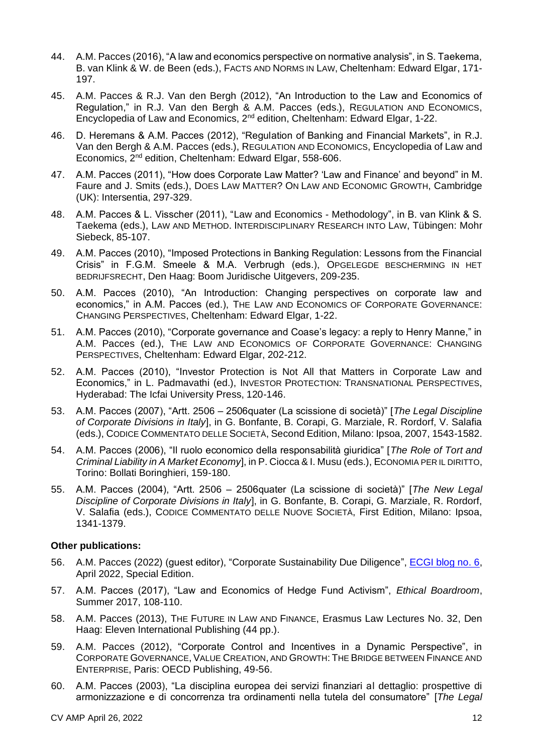- 44. A.M. Pacces (2016), "A law and economics perspective on normative analysis", in S. Taekema, B. van Klink & W. de Been (eds.), FACTS AND NORMS IN LAW, Cheltenham: Edward Elgar, 171- 197.
- 45. A.M. Pacces & R.J. Van den Bergh (2012), "An Introduction to the Law and Economics of Regulation," in R.J. Van den Bergh & A.M. Pacces (eds.), REGULATION AND ECONOMICS, Encyclopedia of Law and Economics, 2nd edition, Cheltenham: Edward Elgar, 1-22.
- 46. D. Heremans & A.M. Pacces (2012), "Regulation of Banking and Financial Markets", in R.J. Van den Bergh & A.M. Pacces (eds.), REGULATION AND ECONOMICS, Encyclopedia of Law and Economics, 2nd edition, Cheltenham: Edward Elgar, 558-606.
- 47. A.M. Pacces (2011), "How does Corporate Law Matter? 'Law and Finance' and beyond" in M. Faure and J. Smits (eds.), DOES LAW MATTER? ON LAW AND ECONOMIC GROWTH, Cambridge (UK): Intersentia, 297-329.
- 48. A.M. Pacces & L. Visscher (2011), "Law and Economics Methodology", in B. van Klink & S. Taekema (eds.), LAW AND METHOD. INTERDISCIPLINARY RESEARCH INTO LAW, Tübingen: Mohr Siebeck, 85-107.
- 49. A.M. Pacces (2010), "Imposed Protections in Banking Regulation: Lessons from the Financial Crisis" in F.G.M. Smeele & M.A. Verbrugh (eds.), OPGELEGDE BESCHERMING IN HET BEDRIJFSRECHT, Den Haag: Boom Juridische Uitgevers, 209-235.
- 50. A.M. Pacces (2010), "An Introduction: Changing perspectives on corporate law and economics," in A.M. Pacces (ed.), THE LAW AND ECONOMICS OF CORPORATE GOVERNANCE: CHANGING PERSPECTIVES, Cheltenham: Edward Elgar, 1-22.
- 51. A.M. Pacces (2010), "Corporate governance and Coase's legacy: a reply to Henry Manne," in A.M. Pacces (ed.), THE LAW AND ECONOMICS OF CORPORATE GOVERNANCE: CHANGING PERSPECTIVES, Cheltenham: Edward Elgar, 202-212.
- 52. A.M. Pacces (2010), "Investor Protection is Not All that Matters in Corporate Law and Economics," in L. Padmavathi (ed.), INVESTOR PROTECTION: TRANSNATIONAL PERSPECTIVES, Hyderabad: The Icfai University Press, 120-146.
- 53. A.M. Pacces (2007), "Artt. 2506 2506quater (La scissione di società)" [*The Legal Discipline of Corporate Divisions in Italy*], in G. Bonfante, B. Corapi, G. Marziale, R. Rordorf, V. Salafia (eds.), CODICE COMMENTATO DELLE SOCIETÀ, Second Edition, Milano: Ipsoa, 2007, 1543-1582.
- 54. A.M. Pacces (2006), "Il ruolo economico della responsabilità giuridica" [*The Role of Tort and Criminal Liability in A Market Economy*], in P. Ciocca & I. Musu (eds.), ECONOMIA PER IL DIRITTO, Torino: Bollati Boringhieri, 159-180.
- 55. A.M. Pacces (2004), "Artt. 2506 2506quater (La scissione di società)" [*The New Legal Discipline of Corporate Divisions in Italy*], in G. Bonfante, B. Corapi, G. Marziale, R. Rordorf, V. Salafia (eds.), CODICE COMMENTATO DELLE NUOVE SOCIETÀ, First Edition, Milano: Ipsoa, 1341-1379.

### **Other publications:**

- 56. A.M. Pacces (2022) (guest editor), "Corporate Sustainability Due Diligence", **ECGI blog no. 6**, April 2022, Special Edition.
- 57. A.M. Pacces (2017), "Law and Economics of Hedge Fund Activism", *Ethical Boardroom*, Summer 2017, 108-110.
- 58. A.M. Pacces (2013), THE FUTURE IN LAW AND FINANCE, Erasmus Law Lectures No. 32, Den Haag: Eleven International Publishing (44 pp.).
- 59. A.M. Pacces (2012), "Corporate Control and Incentives in a Dynamic Perspective", in CORPORATE GOVERNANCE, VALUE CREATION, AND GROWTH: THE BRIDGE BETWEEN FINANCE AND ENTERPRISE, Paris: OECD Publishing, 49-56.
- 60. A.M. Pacces (2003), "La disciplina europea dei servizi finanziari al dettaglio: prospettive di armonizzazione e di concorrenza tra ordinamenti nella tutela del consumatore" [*The Legal*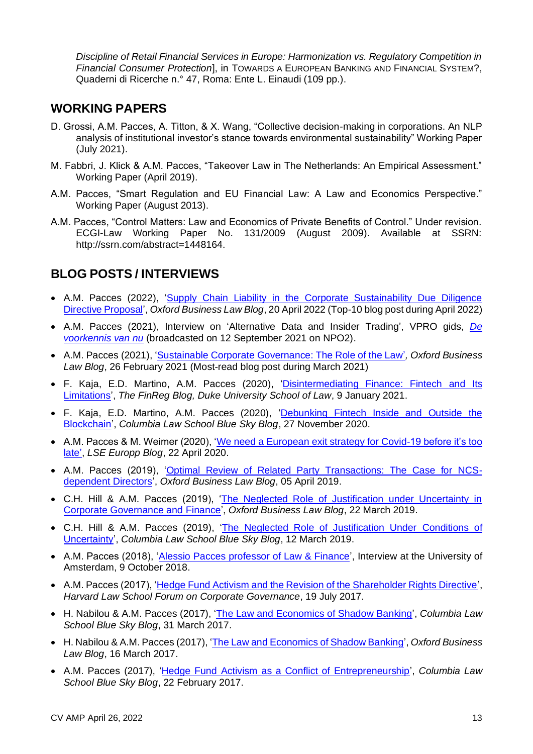*Discipline of Retail Financial Services in Europe: Harmonization vs. Regulatory Competition in Financial Consumer Protection*], in TOWARDS A EUROPEAN BANKING AND FINANCIAL SYSTEM?, Quaderni di Ricerche n.° 47, Roma: Ente L. Einaudi (109 pp.).

### **WORKING PAPERS**

- D. Grossi, A.M. Pacces, A. Titton, & X. Wang, "Collective decision-making in corporations. An NLP analysis of institutional investor's stance towards environmental sustainability" Working Paper (July 2021).
- M. Fabbri, J. Klick & A.M. Pacces, "Takeover Law in The Netherlands: An Empirical Assessment." Working Paper (April 2019).
- A.M. Pacces, "Smart Regulation and EU Financial Law: A Law and Economics Perspective." Working Paper (August 2013).
- A.M. Pacces, "Control Matters: Law and Economics of Private Benefits of Control." Under revision. ECGI-Law Working Paper No. 131/2009 (August 2009). Available at SSRN: http://ssrn.com/abstract=1448164.

## **BLOG POSTS / INTERVIEWS**

- A.M. Pacces (2022), ['Supply Chain Liability in the Corporate Sustainability Due Diligence](https://www.law.ox.ac.uk/business-law-blog/blog/2022/04/supply-chain-liability-corporate-sustainability-due-diligence)  [Directive Proposal'](https://www.law.ox.ac.uk/business-law-blog/blog/2022/04/supply-chain-liability-corporate-sustainability-due-diligence), *Oxford Business Law Blog*, 20 April 2022 (Top-10 blog post during April 2022)
- A.M. Pacces (2021), Interview on 'Alternative Data and Insider Trading', VPRO gids, *[De](https://www.vprogids.nl/2021/37/inhoud/artikelen/p18-De-voorkennis-van-nu-.html)  [voorkennis van nu](https://www.vprogids.nl/2021/37/inhoud/artikelen/p18-De-voorkennis-van-nu-.html)* (broadcasted on 12 September 2021 on NPO2).
- A.M. Pacces (2021), ['Sustainable Corporate Governance: The Role of the Law'](https://www.law.ox.ac.uk/business-law-blog/blog/2021/02/sustainable-corporate-governance-role-law)*, Oxford Business Law Blog*, 26 February 2021 (Most-read blog post during March 2021)
- F. Kaja, E.D. Martino, A.M. Pacces (2020), ['Disintermediating Finance: Fintech and Its](https://sites.law.duke.edu/thefinregblog/2021/01/08/disintermediating-finance-fintech-and-its-limitations/)  [Limitations'](https://sites.law.duke.edu/thefinregblog/2021/01/08/disintermediating-finance-fintech-and-its-limitations/), *The FinReg Blog, Duke University School of Law*, 9 January 2021.
- F. Kaja, E.D. Martino, A.M. Pacces (2020), ['Debunking Fintech Inside and Outside the](https://clsbluesky.law.columbia.edu/2020/11/27/debunking-fintech-inside-and-outside-the-blockchain/)  [Blockchain'](https://clsbluesky.law.columbia.edu/2020/11/27/debunking-fintech-inside-and-outside-the-blockchain/), *Columbia Law School Blue Sky Blog*, 27 November 2020.
- A.M. Pacces & M. Weimer (2020), ['We need a European exit strategy for Covid-19 before it's too](https://blogs.lse.ac.uk/europpblog/2020/04/22/we-need-a-european-exit-strategy-for-covid-19-before-its-too-late)  [late'](https://blogs.lse.ac.uk/europpblog/2020/04/22/we-need-a-european-exit-strategy-for-covid-19-before-its-too-late), *LSE Europp Blog*, 22 April 2020.
- A.M. Pacces (2019), ['Optimal Review of Related Party Transactions: The Case for NCS](https://www.law.ox.ac.uk/business-law-blog/blog/2019/04/optimal-review-related-party-transactions-case-ncs-dependent)[dependent Directors'](https://www.law.ox.ac.uk/business-law-blog/blog/2019/04/optimal-review-related-party-transactions-case-ncs-dependent), *Oxford Business Law Blog*, 05 April 2019.
- C.H. Hill & A.M. Pacces (2019), ['The Neglected Role of Justification under Uncertainty in](https://www.law.ox.ac.uk/business-law-blog/blog/2019/03/neglected-role-justification-under-uncertainty-corporate-governance)  [Corporate Governance and Finance'](https://www.law.ox.ac.uk/business-law-blog/blog/2019/03/neglected-role-justification-under-uncertainty-corporate-governance), *Oxford Business Law Blog*, 22 March 2019.
- C.H. Hill & A.M. Pacces (2019), ['The Neglected Role of Justification Under](http://clsbluesky.law.columbia.edu/2019/03/12/the-neglected-role-of-justification-under-conditions-of-uncertainty/) Conditions of [Uncertainty'](http://clsbluesky.law.columbia.edu/2019/03/12/the-neglected-role-of-justification-under-conditions-of-uncertainty/), *Columbia Law School Blue Sky Blog*, 12 March 2019.
- A.M. Pacces (2018), 'Alessio Pacces [professor of Law & Finance'](https://www.uva.nl/en/shared-content/faculteiten/en/faculteit-der-rechtsgeleerdheid/news/2018/10/alessio-pacces-professor-of-law--finance.html), Interview at the University of Amsterdam, 9 October 2018.
- A.M. Pacces (2017), ['Hedge Fund Activism and the Revision of the Shareholder Rights Directive'](https://corpgov.law.harvard.edu/2017/07/19/hedge-fund-activism-and-the-revision-of-the-shareholder-rights-directive/), *Harvard Law School Forum on Corporate Governance*, 19 July 2017.
- H. Nabilou & A.M. Pacces (2017), ['The Law and Economics of Shadow Banking'](http://clsbluesky.law.columbia.edu/2017/03/31/the-law-and-economics-of-shadow-banking/), *Columbia Law School Blue Sky Blog*, 31 March 2017.
- H. Nabilou & A.M. Pacces (2017), ['The Law and Economics of Shadow Banking'](https://www.law.ox.ac.uk/business-law-blog/blog/2017/03/law-and-economics-shadow-banking), *Oxford Business Law Blog*, 16 March 2017.
- A.M. Pacces (2017), ['Hedge Fund Activism as a Conflict of Entrepreneurship'](http://clsbluesky.law.columbia.edu/2017/02/22/hedge-fund-activism-as-a-conflict-of-entrepreneurship/), *Columbia Law School Blue Sky Blog*, 22 February 2017.